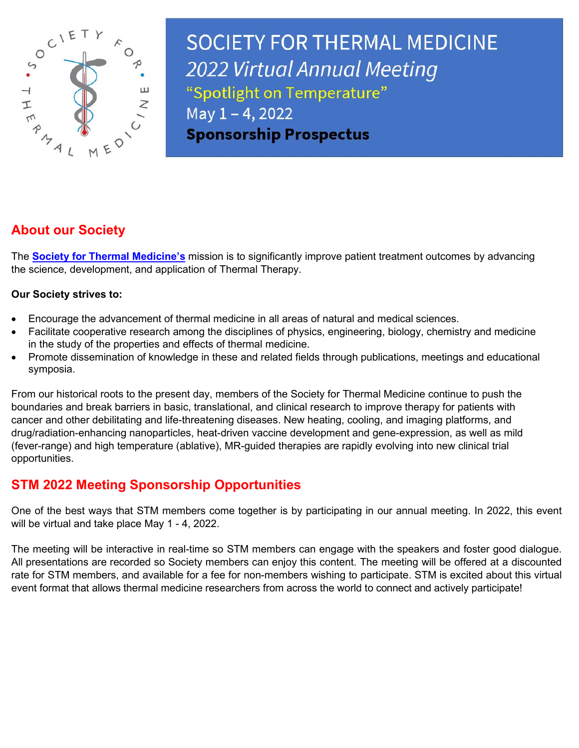

**SOCIETY FOR THERMAL MEDICINE** 2022 Virtual Annual Meeting "Spotlight on Temperature" May 1-4, 2022 **Sponsorship Prospectus** 

# **About our Society**

The **[Society for Thermal Medicine's](https://thermaltherapy.org/)** mission is to significantly improve patient treatment outcomes by advancing the science, development, and application of Thermal Therapy.

#### **Our Society strives to:**

- Encourage the advancement of thermal medicine in all areas of natural and medical sciences.
- Facilitate cooperative research among the disciplines of physics, engineering, biology, chemistry and medicine in the study of the properties and effects of thermal medicine.
- Promote dissemination of knowledge in these and related fields through publications, meetings and educational symposia.

From our historical roots to the present day, members of the Society for Thermal Medicine continue to push the boundaries and break barriers in basic, translational, and clinical research to improve therapy for patients with cancer and other debilitating and life-threatening diseases. New heating, cooling, and imaging platforms, and drug/radiation-enhancing nanoparticles, heat-driven vaccine development and gene-expression, as well as mild (fever-range) and high temperature (ablative), MR-guided therapies are rapidly evolving into new clinical trial opportunities.

## **STM 2022 Meeting Sponsorship Opportunities**

One of the best ways that STM members come together is by participating in our annual meeting. In 2022, this event will be virtual and take place May 1 - 4, 2022.

The meeting will be interactive in real-time so STM members can engage with the speakers and foster good dialogue. All presentations are recorded so Society members can enjoy this content. The meeting will be offered at a discounted rate for STM members, and available for a fee for non-members wishing to participate. STM is excited about this virtual event format that allows thermal medicine researchers from across the world to connect and actively participate!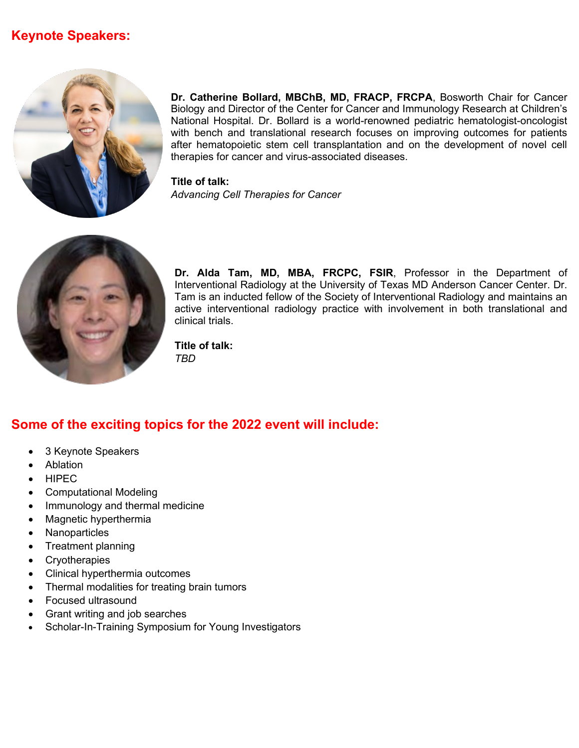## **Keynote Speakers:**



**Dr. Catherine Bollard, MBChB, MD, FRACP, FRCPA**, Bosworth Chair for Cancer Biology and Director of the Center for Cancer and Immunology Research at Children's National Hospital. Dr. Bollard is a world-renowned pediatric hematologist-oncologist with bench and translational research focuses on improving outcomes for patients after hematopoietic stem cell transplantation and on the development of novel cell therapies for cancer and virus-associated diseases.

**Title of talk:** *Advancing Cell Therapies for Cancer*



**Dr. Alda Tam, MD, MBA, FRCPC, FSIR**, Professor in the Department of Interventional Radiology at the University of Texas MD Anderson Cancer Center. Dr. Tam is an inducted fellow of the Society of Interventional Radiology and maintains an active interventional radiology practice with involvement in both translational and clinical trials.

**Title of talk:** *TBD*

## **Some of the exciting topics for the 2022 event will include:**

- 3 Keynote Speakers
- Ablation
- HIPEC
- Computational Modeling
- Immunology and thermal medicine
- Magnetic hyperthermia
- Nanoparticles
- Treatment planning
- Cryotherapies
- Clinical hyperthermia outcomes
- Thermal modalities for treating brain tumors
- Focused ultrasound
- Grant writing and job searches
- Scholar-In-Training Symposium for Young Investigators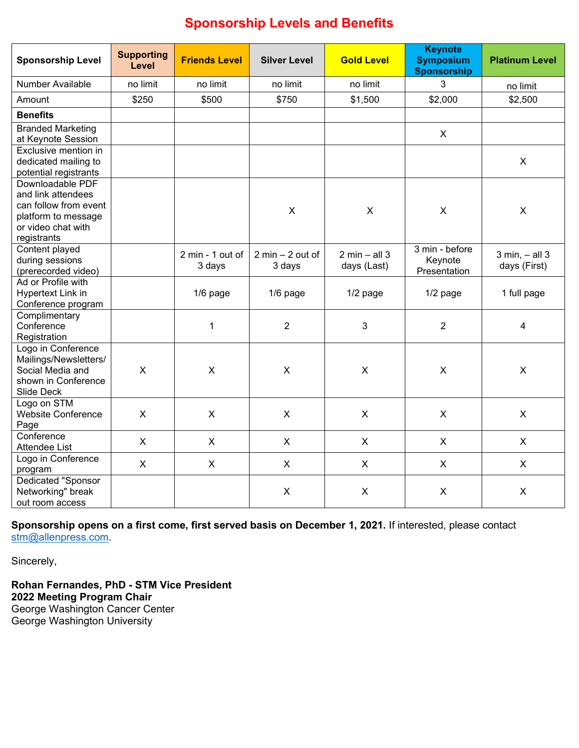# **Sponsorship Levels and Benefits**

| <b>Sponsorship Level</b>                                                                                                    | <b>Supporting</b><br>Level | <b>Friends Level</b>       | <b>Silver Level</b>          | <b>Gold Level</b>                               | <b>Keynote</b><br><b>Symposium</b><br><b>Sponsorship</b> | <b>Platinum Level</b>                |
|-----------------------------------------------------------------------------------------------------------------------------|----------------------------|----------------------------|------------------------------|-------------------------------------------------|----------------------------------------------------------|--------------------------------------|
| <b>Number Available</b>                                                                                                     | no limit                   | no limit                   | no limit                     | no limit                                        | 3                                                        | no limit                             |
| Amount                                                                                                                      | \$250                      | \$500                      | \$750                        | \$1,500                                         | \$2,000                                                  | \$2,500                              |
| <b>Benefits</b>                                                                                                             |                            |                            |                              |                                                 |                                                          |                                      |
| <b>Branded Marketing</b><br>at Keynote Session                                                                              |                            |                            |                              |                                                 | X                                                        |                                      |
| Exclusive mention in<br>dedicated mailing to<br>potential registrants                                                       |                            |                            |                              |                                                 |                                                          | X                                    |
| Downloadable PDF<br>and link attendees<br>can follow from event<br>platform to message<br>or video chat with<br>registrants |                            |                            | X                            | $\boldsymbol{\mathsf{X}}$                       | $\boldsymbol{\mathsf{X}}$                                | $\mathsf{X}$                         |
| Content played<br>during sessions<br>(prerecorded video)                                                                    |                            | 2 min - 1 out of<br>3 days | $2 min - 2 out of$<br>3 days | $2 \text{ min} - \text{ all } 3$<br>days (Last) | 3 min - before<br>Keynote<br>Presentation                | $3$ min, $-$ all $3$<br>days (First) |
| Ad or Profile with<br>Hypertext Link in<br>Conference program                                                               |                            | 1/6 page                   | $1/6$ page                   | $1/2$ page                                      | $1/2$ page                                               | 1 full page                          |
| Complimentary<br>Conference<br>Registration                                                                                 |                            | $\mathbf 1$                | $\overline{2}$               | 3                                               | $\overline{2}$                                           | 4                                    |
| Logo in Conference<br>Mailings/Newsletters/<br>Social Media and<br>shown in Conference<br>Slide Deck                        | $\boldsymbol{\mathsf{X}}$  | $\times$                   | $\mathsf{x}$                 | X                                               | $\boldsymbol{\mathsf{X}}$                                | X                                    |
| Logo on STM<br><b>Website Conference</b><br>Page                                                                            | $\boldsymbol{\mathsf{X}}$  | $\boldsymbol{\mathsf{X}}$  | X                            | $\mathsf{X}$                                    | $\mathsf{X}$                                             | X                                    |
| Conference<br><b>Attendee List</b>                                                                                          | $\boldsymbol{\mathsf{X}}$  | X                          | X                            | $\pmb{\times}$                                  | X                                                        | X                                    |
| Logo in Conference<br>program                                                                                               | X                          | X                          | X                            | $\mathsf{X}$                                    | X                                                        | X                                    |
| Dedicated "Sponsor<br>Networking" break<br>out room access                                                                  |                            |                            | X                            | X                                               | X                                                        | X                                    |

**Sponsorship opens on a first come, first served basis on December 1, 2021.** If interested, please contact [stm@allenpress.com.](mailto:stm@allenpress.com)

Sincerely,

**Rohan Fernandes, PhD - STM Vice President 2022 Meeting Program Chair** George Washington Cancer Center George Washington University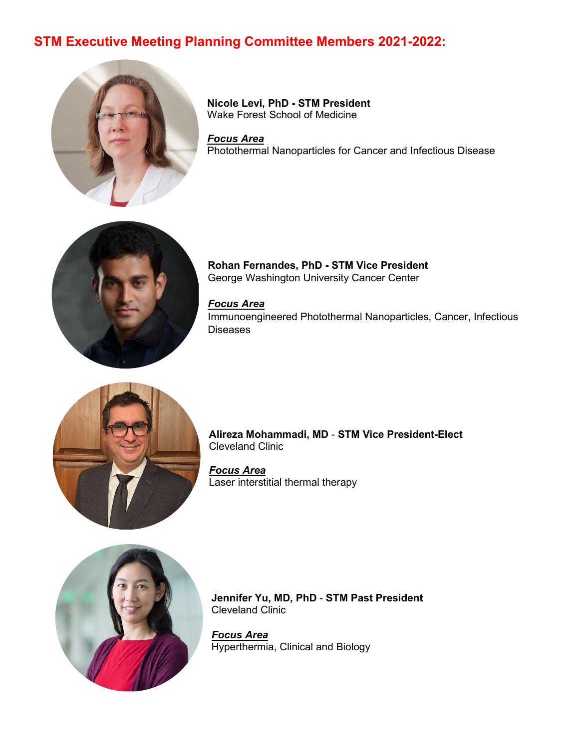## **STM Executive Meeting Planning Committee Members 2021-2022:**



**Nicole Levi, PhD - STM President** Wake Forest School of Medicine

*Focus Area* Photothermal Nanoparticles for Cancer and Infectious Disease



**Rohan Fernandes, PhD - STM Vice President** George Washington University Cancer Center

*Focus Area* Immunoengineered Photothermal Nanoparticles, Cancer, Infectious Diseases



**Alireza Mohammadi, MD** - **STM Vice President-Elect** Cleveland Clinic

*Focus Area* Laser interstitial thermal therapy



**Jennifer Yu, MD, PhD** - **STM Past President** Cleveland Clinic

*Focus Area* Hyperthermia, Clinical and Biology